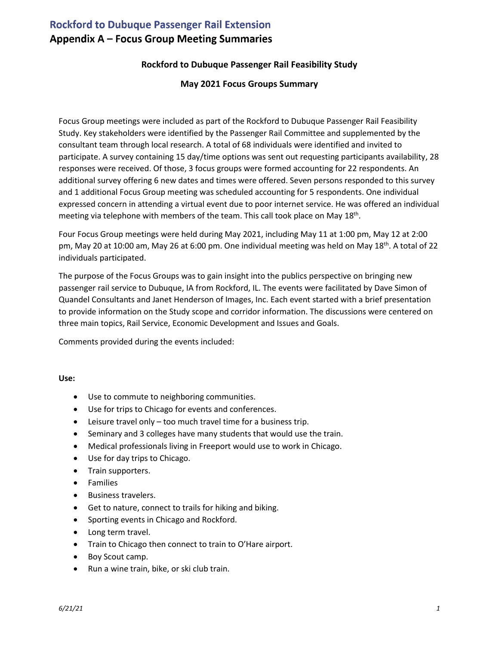# **Rockford to Dubuque Passenger Rail Extension** Appendix A - Focus Group Meeting Summaries

# **Rockford to Dubuque Passenger Rail Feasibility Study**

## **May 2021 Focus Groups Summary**

Focus Group meetings were included as part of the Rockford to Dubuque Passenger Rail Feasibility Study. Key stakeholders were identified by the Passenger Rail Committee and supplemented by the consultant team through local research. A total of 68 individuals were identified and invited to participate. A survey containing 15 day/time options was sent out requesting participants availability, 28 responses were received. Of those, 3 focus groups were formed accounting for 22 respondents. An additional survey offering 6 new dates and times were offered. Seven persons responded to this survey and 1 additional Focus Group meeting was scheduled accounting for 5 respondents. One individual expressed concern in attending a virtual event due to poor internet service. He was offered an individual meeting via telephone with members of the team. This call took place on May 18<sup>th</sup>.

Four Focus Group meetings were held during May 2021, including May 11 at 1:00 pm, May 12 at 2:00 pm, May 20 at 10:00 am, May 26 at 6:00 pm. One individual meeting was held on May 18<sup>th</sup>. A total of 22 individuals participated.

The purpose of the Focus Groups was to gain insight into the publics perspective on bringing new passenger rail service to Dubuque, IA from Rockford, IL. The events were facilitated by Dave Simon of Quandel Consultants and Janet Henderson of Images, Inc. Each event started with a brief presentation to provide information on the Study scope and corridor information. The discussions were centered on three main topics, Rail Service, Economic Development and Issues and Goals.

Comments provided during the events included:

#### **Use:**

- Use to commute to neighboring communities.
- Use for trips to Chicago for events and conferences.
- Leisure travel only too much travel time for a business trip.
- Seminary and 3 colleges have many students that would use the train.
- Medical professionals living in Freeport would use to work in Chicago.
- Use for day trips to Chicago.
- Train supporters.
- Families
- Business travelers.
- Get to nature, connect to trails for hiking and biking.
- Sporting events in Chicago and Rockford.
- Long term travel.
- Train to Chicago then connect to train to O'Hare airport.
- Boy Scout camp.
- Run a wine train, bike, or ski club train.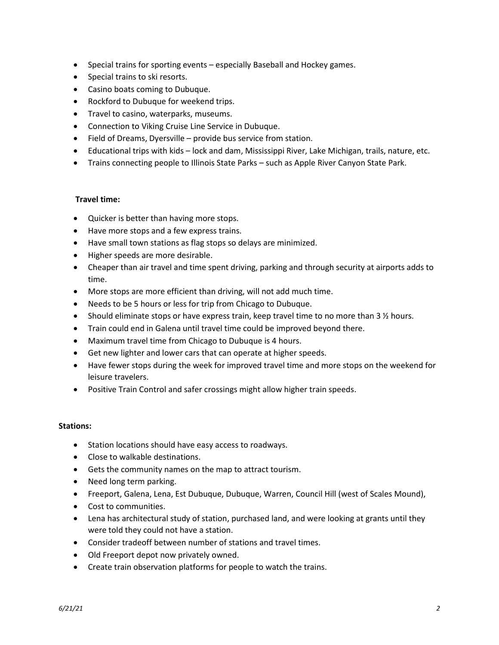- Special trains for sporting events especially Baseball and Hockey games.
- Special trains to ski resorts.
- Casino boats coming to Dubuque.
- Rockford to Dubuque for weekend trips.
- Travel to casino, waterparks, museums.
- Connection to Viking Cruise Line Service in Dubuque.
- Field of Dreams, Dyersville provide bus service from station.
- Educational trips with kids lock and dam, Mississippi River, Lake Michigan, trails, nature, etc.
- Trains connecting people to Illinois State Parks such as Apple River Canyon State Park.

#### **Travel time:**

- Quicker is better than having more stops.
- Have more stops and a few express trains.
- Have small town stations as flag stops so delays are minimized.
- Higher speeds are more desirable.
- Cheaper than air travel and time spent driving, parking and through security at airports adds to time.
- More stops are more efficient than driving, will not add much time.
- Needs to be 5 hours or less for trip from Chicago to Dubuque.
- Should eliminate stops or have express train, keep travel time to no more than 3  $\frac{1}{2}$  hours.
- Train could end in Galena until travel time could be improved beyond there.
- Maximum travel time from Chicago to Dubuque is 4 hours.
- Get new lighter and lower cars that can operate at higher speeds.
- Have fewer stops during the week for improved travel time and more stops on the weekend for leisure travelers.
- Positive Train Control and safer crossings might allow higher train speeds.

#### **Stations:**

- Station locations should have easy access to roadways.
- Close to walkable destinations.
- Gets the community names on the map to attract tourism.
- Need long term parking.
- Freeport, Galena, Lena, Est Dubuque, Dubuque, Warren, Council Hill (west of Scales Mound),
- Cost to communities.
- Lena has architectural study of station, purchased land, and were looking at grants until they were told they could not have a station.
- Consider tradeoff between number of stations and travel times.
- Old Freeport depot now privately owned.
- Create train observation platforms for people to watch the trains.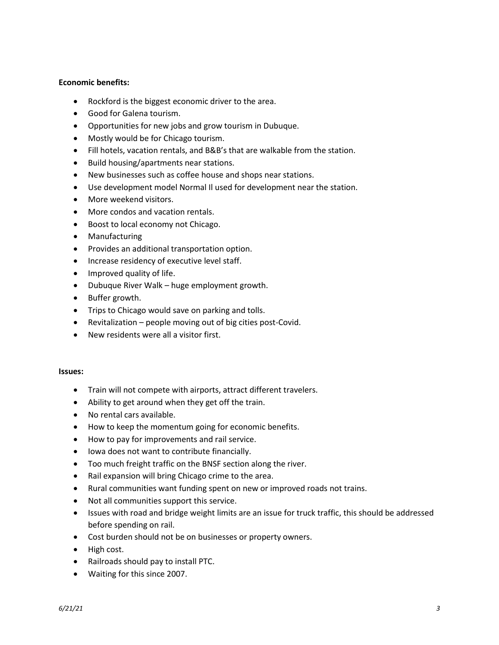## **Economic benefits:**

- Rockford is the biggest economic driver to the area.
- Good for Galena tourism.
- Opportunities for new jobs and grow tourism in Dubuque.
- Mostly would be for Chicago tourism.
- Fill hotels, vacation rentals, and B&B's that are walkable from the station.
- Build housing/apartments near stations.
- New businesses such as coffee house and shops near stations.
- Use development model Normal Il used for development near the station.
- More weekend visitors.
- More condos and vacation rentals.
- Boost to local economy not Chicago.
- Manufacturing
- Provides an additional transportation option.
- Increase residency of executive level staff.
- Improved quality of life.
- Dubuque River Walk huge employment growth.
- Buffer growth.
- Trips to Chicago would save on parking and tolls.
- Revitalization people moving out of big cities post-Covid.
- New residents were all a visitor first.

#### **Issues:**

- Train will not compete with airports, attract different travelers.
- Ability to get around when they get off the train.
- No rental cars available.
- How to keep the momentum going for economic benefits.
- How to pay for improvements and rail service.
- Iowa does not want to contribute financially.
- Too much freight traffic on the BNSF section along the river.
- Rail expansion will bring Chicago crime to the area.
- Rural communities want funding spent on new or improved roads not trains.
- Not all communities support this service.
- Issues with road and bridge weight limits are an issue for truck traffic, this should be addressed before spending on rail.
- Cost burden should not be on businesses or property owners.
- High cost.
- Railroads should pay to install PTC.
- Waiting for this since 2007.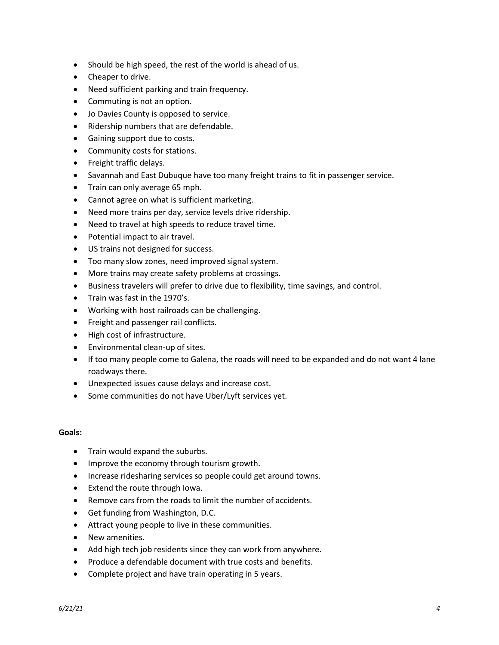- Should be high speed, the rest of the world is ahead of us.
- Cheaper to drive.
- Need sufficient parking and train frequency.
- Commuting is not an option.
- Jo Davies County is opposed to service.
- Ridership numbers that are defendable.
- Gaining support due to costs.
- Community costs for stations.
- Freight traffic delays.
- Savannah and East Dubuque have too many freight trains to fit in passenger service.
- Train can only average 65 mph.
- Cannot agree on what is sufficient marketing.
- Need more trains per day, service levels drive ridership.
- Need to travel at high speeds to reduce travel time.
- Potential impact to air travel.
- US trains not designed for success.
- Too many slow zones, need improved signal system.
- More trains may create safety problems at crossings.
- Business travelers will prefer to drive due to flexibility, time savings, and control.
- Train was fast in the 1970's.
- Working with host railroads can be challenging.
- Freight and passenger rail conflicts.
- High cost of infrastructure.
- Environmental clean-up of sites.
- If too many people come to Galena, the roads will need to be expanded and do not want 4 lane roadways there.
- Unexpected issues cause delays and increase cost.
- Some communities do not have Uber/Lyft services yet.

## **Goals:**

- Train would expand the suburbs.
- Improve the economy through tourism growth.
- Increase ridesharing services so people could get around towns.
- Extend the route through Iowa.
- Remove cars from the roads to limit the number of accidents.
- Get funding from Washington, D.C.
- Attract young people to live in these communities.
- New amenities.
- Add high tech job residents since they can work from anywhere.
- Produce a defendable document with true costs and benefits.
- Complete project and have train operating in 5 years.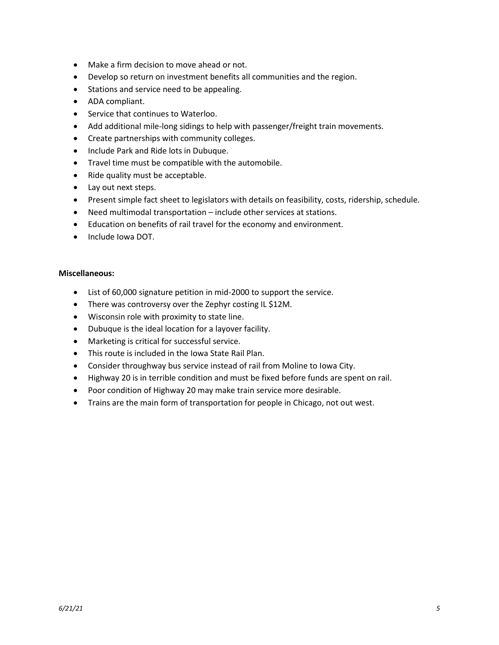- Make a firm decision to move ahead or not.
- Develop so return on investment benefits all communities and the region.
- Stations and service need to be appealing.
- ADA compliant.
- Service that continues to Waterloo.
- Add additional mile-long sidings to help with passenger/freight train movements.
- Create partnerships with community colleges.
- Include Park and Ride lots in Dubuque.
- Travel time must be compatible with the automobile.
- Ride quality must be acceptable.
- Lay out next steps.
- Present simple fact sheet to legislators with details on feasibility, costs, ridership, schedule.
- Need multimodal transportation include other services at stations.
- Education on benefits of rail travel for the economy and environment.
- Include Iowa DOT.

#### **Miscellaneous:**

- List of 60,000 signature petition in mid-2000 to support the service.
- There was controversy over the Zephyr costing IL \$12M.
- Wisconsin role with proximity to state line.
- Dubuque is the ideal location for a layover facility.
- Marketing is critical for successful service.
- This route is included in the Iowa State Rail Plan.
- Consider throughway bus service instead of rail from Moline to Iowa City.
- Highway 20 is in terrible condition and must be fixed before funds are spent on rail.
- Poor condition of Highway 20 may make train service more desirable.
- Trains are the main form of transportation for people in Chicago, not out west.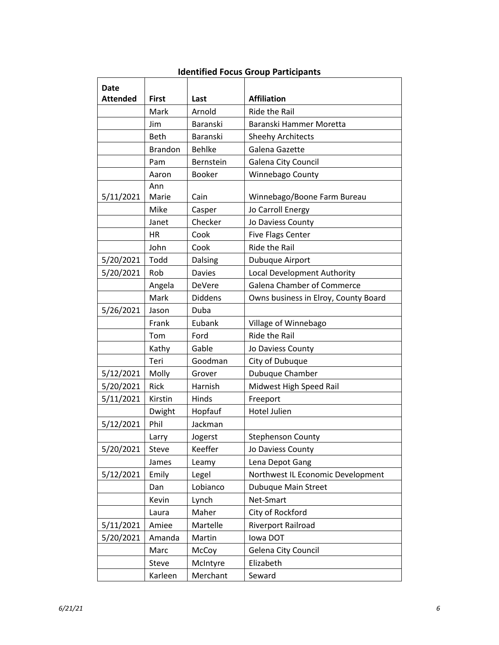| Date            |                |                |                                      |
|-----------------|----------------|----------------|--------------------------------------|
| <b>Attended</b> | <b>First</b>   | Last           | <b>Affiliation</b>                   |
|                 | Mark           | Arnold         | Ride the Rail                        |
|                 | Jim            | Baranski       | Baranski Hammer Moretta              |
|                 | Beth           | Baranski       | <b>Sheehy Architects</b>             |
|                 | <b>Brandon</b> | <b>Behlke</b>  | Galena Gazette                       |
|                 | Pam            | Bernstein      | Galena City Council                  |
|                 | Aaron          | <b>Booker</b>  | Winnebago County                     |
|                 | Ann            |                |                                      |
| 5/11/2021       | Marie          | Cain           | Winnebago/Boone Farm Bureau          |
|                 | Mike           | Casper         | Jo Carroll Energy                    |
|                 | Janet          | Checker        | Jo Daviess County                    |
|                 | <b>HR</b>      | Cook           | <b>Five Flags Center</b>             |
|                 | John           | Cook           | <b>Ride the Rail</b>                 |
| 5/20/2021       | Todd           | Dalsing        | Dubuque Airport                      |
| 5/20/2021       | Rob            | <b>Davies</b>  | Local Development Authority          |
|                 | Angela         | DeVere         | <b>Galena Chamber of Commerce</b>    |
|                 | Mark           | <b>Diddens</b> | Owns business in Elroy, County Board |
| 5/26/2021       | Jason          | Duba           |                                      |
|                 | Frank          | Eubank         | Village of Winnebago                 |
|                 | Tom            | Ford           | <b>Ride the Rail</b>                 |
|                 | Kathy          | Gable          | Jo Daviess County                    |
|                 | Teri           | Goodman        | City of Dubuque                      |
| 5/12/2021       | Molly          | Grover         | Dubuque Chamber                      |
| 5/20/2021       | Rick           | Harnish        | Midwest High Speed Rail              |
| 5/11/2021       | Kirstin        | Hinds          | Freeport                             |
|                 | Dwight         | Hopfauf        | <b>Hotel Julien</b>                  |
| 5/12/2021       | Phil           | Jackman        |                                      |
|                 | Larry          | Jogerst        | <b>Stephenson County</b>             |
| 5/20/2021       | Steve          | Keeffer        | Jo Daviess County                    |
|                 | James          | Leamy          | Lena Depot Gang                      |
| 5/12/2021       | Emily          | Legel          | Northwest IL Economic Development    |
|                 | Dan            | Lobianco       | Dubuque Main Street                  |
|                 | Kevin          | Lynch          | Net-Smart                            |
|                 | Laura          | Maher          | City of Rockford                     |
| 5/11/2021       | Amiee          | Martelle       | Riverport Railroad                   |
| 5/20/2021       | Amanda         | Martin         | Iowa DOT                             |
|                 | Marc           | McCoy          | <b>Gelena City Council</b>           |
|                 | Steve          | McIntyre       | Elizabeth                            |
|                 | Karleen        | Merchant       | Seward                               |

## **Identified Focus Group Participants**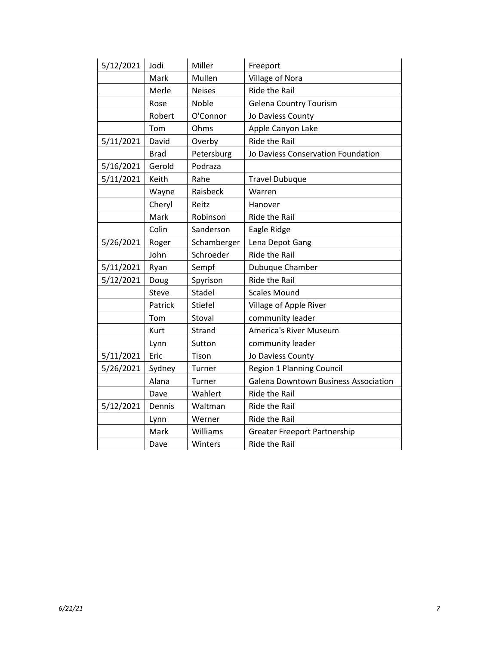| 5/12/2021 | Jodi        | Miller         | Freeport                                    |
|-----------|-------------|----------------|---------------------------------------------|
|           | Mark        | Mullen         | Village of Nora                             |
|           | Merle       | <b>Neises</b>  | <b>Ride the Rail</b>                        |
|           | Rose        | Noble          | <b>Gelena Country Tourism</b>               |
|           | Robert      | O'Connor       | Jo Daviess County                           |
|           | Tom         | Ohms           | Apple Canyon Lake                           |
| 5/11/2021 | David       | Overby         | Ride the Rail                               |
|           | <b>Brad</b> | Petersburg     | Jo Daviess Conservation Foundation          |
| 5/16/2021 | Gerold      | Podraza        |                                             |
| 5/11/2021 | Keith       | Rahe           | <b>Travel Dubuque</b>                       |
|           | Wayne       | Raisbeck       | Warren                                      |
|           | Cheryl      | Reitz          | Hanover                                     |
|           | Mark        | Robinson       | Ride the Rail                               |
|           | Colin       | Sanderson      | Eagle Ridge                                 |
| 5/26/2021 | Roger       | Schamberger    | Lena Depot Gang                             |
|           | John        | Schroeder      | Ride the Rail                               |
| 5/11/2021 | Ryan        | Sempf          | Dubuque Chamber                             |
| 5/12/2021 | Doug        | Spyrison       | Ride the Rail                               |
|           | Steve       | Stadel         | <b>Scales Mound</b>                         |
|           | Patrick     | <b>Stiefel</b> | Village of Apple River                      |
|           | Tom         | Stoval         | community leader                            |
|           | Kurt        | Strand         | America's River Museum                      |
|           | Lynn        | Sutton         | community leader                            |
| 5/11/2021 | Eric        | Tison          | Jo Daviess County                           |
| 5/26/2021 | Sydney      | Turner         | Region 1 Planning Council                   |
|           | Alana       | Turner         | <b>Galena Downtown Business Association</b> |
|           | Dave        | Wahlert        | Ride the Rail                               |
| 5/12/2021 | Dennis      | Waltman        | Ride the Rail                               |
|           | Lynn        | Werner         | <b>Ride the Rail</b>                        |
|           | Mark        | Williams       | <b>Greater Freeport Partnership</b>         |
|           | Dave        | Winters        | <b>Ride the Rail</b>                        |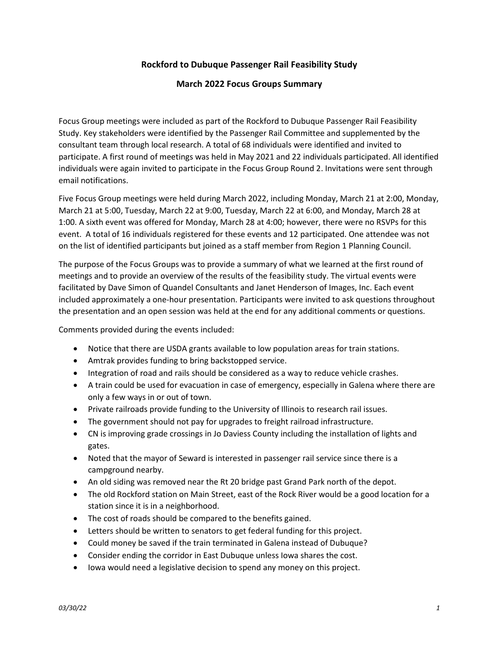## Rockford to Dubuque Passenger Rail Feasibility Study

## March 2022 Focus Groups Summary

Focus Group meetings were included as part of the Rockford to Dubuque Passenger Rail Feasibility Study. Key stakeholders were identified by the Passenger Rail Committee and supplemented by the consultant team through local research. A total of 68 individuals were identified and invited to participate. A first round of meetings was held in May 2021 and 22 individuals participated. All identified individuals were again invited to participate in the Focus Group Round 2. Invitations were sent through email notifications.

Five Focus Group meetings were held during March 2022, including Monday, March 21 at 2:00, Monday, March 21 at 5:00, Tuesday, March 22 at 9:00, Tuesday, March 22 at 6:00, and Monday, March 28 at 1:00. A sixth event was offered for Monday, March 28 at 4:00; however, there were no RSVPs for this event. A total of 16 individuals registered for these events and 12 participated. One attendee was not on the list of identified participants but joined as a staff member from Region 1 Planning Council.

The purpose of the Focus Groups was to provide a summary of what we learned at the first round of meetings and to provide an overview of the results of the feasibility study. The virtual events were facilitated by Dave Simon of Quandel Consultants and Janet Henderson of Images, Inc. Each event included approximately a one-hour presentation. Participants were invited to ask questions throughout the presentation and an open session was held at the end for any additional comments or questions.

Comments provided during the events included:

- Notice that there are USDA grants available to low population areas for train stations.
- Amtrak provides funding to bring backstopped service.
- Integration of road and rails should be considered as a way to reduce vehicle crashes.
- A train could be used for evacuation in case of emergency, especially in Galena where there are only a few ways in or out of town.
- Private railroads provide funding to the University of Illinois to research rail issues.
- The government should not pay for upgrades to freight railroad infrastructure.
- CN is improving grade crossings in Jo Daviess County including the installation of lights and gates.
- Noted that the mayor of Seward is interested in passenger rail service since there is a campground nearby.
- An old siding was removed near the Rt 20 bridge past Grand Park north of the depot.
- The old Rockford station on Main Street, east of the Rock River would be a good location for a station since it is in a neighborhood.
- The cost of roads should be compared to the benefits gained.
- Letters should be written to senators to get federal funding for this project.
- Could money be saved if the train terminated in Galena instead of Dubuque?
- Consider ending the corridor in East Dubuque unless Iowa shares the cost.
- Iowa would need a legislative decision to spend any money on this project.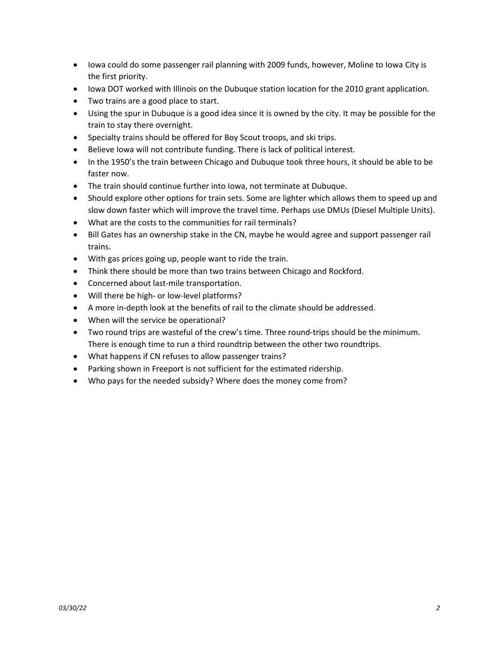- Iowa could do some passenger rail planning with 2009 funds, however, Moline to Iowa City is the first priority.
- Iowa DOT worked with Illinois on the Dubuque station location for the 2010 grant application.
- Two trains are a good place to start.
- Using the spur in Dubuque is a good idea since it is owned by the city. It may be possible for the train to stay there overnight.
- Specialty trains should be offered for Boy Scout troops, and ski trips.
- Believe Iowa will not contribute funding. There is lack of political interest.
- In the 1950's the train between Chicago and Dubuque took three hours, it should be able to be faster now.
- The train should continue further into Iowa, not terminate at Dubuque.
- Should explore other options for train sets. Some are lighter which allows them to speed up and slow down faster which will improve the travel time. Perhaps use DMUs (Diesel Multiple Units).
- What are the costs to the communities for rail terminals?
- Bill Gates has an ownership stake in the CN, maybe he would agree and support passenger rail trains.
- With gas prices going up, people want to ride the train.
- Think there should be more than two trains between Chicago and Rockford.
- Concerned about last-mile transportation.
- Will there be high- or low-level platforms?
- A more in-depth look at the benefits of rail to the climate should be addressed.
- When will the service be operational?
- Two round trips are wasteful of the crew's time. Three round-trips should be the minimum. There is enough time to run a third roundtrip between the other two roundtrips.
- What happens if CN refuses to allow passenger trains?
- Parking shown in Freeport is not sufficient for the estimated ridership.
- Who pays for the needed subsidy? Where does the money come from?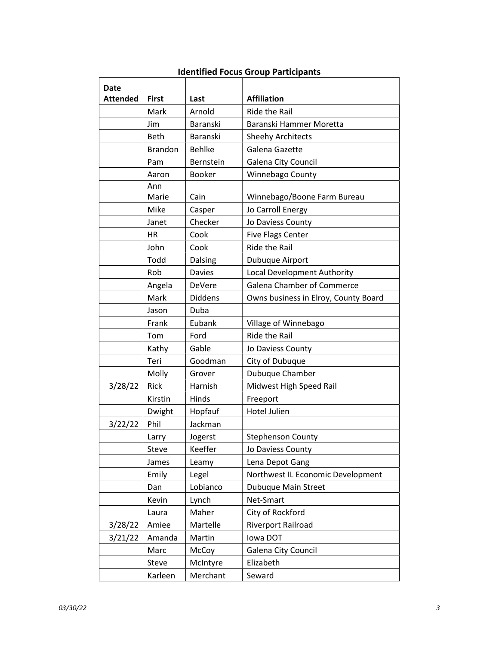| <b>Date</b><br><b>Attended</b> | <b>First</b>   | Last           | <b>Affiliation</b>                   |
|--------------------------------|----------------|----------------|--------------------------------------|
|                                | Mark           | Arnold         | Ride the Rail                        |
|                                | Jim            | Baranski       | Baranski Hammer Moretta              |
|                                | <b>Beth</b>    | Baranski       | <b>Sheehy Architects</b>             |
|                                | <b>Brandon</b> | <b>Behlke</b>  | Galena Gazette                       |
|                                | Pam            | Bernstein      | Galena City Council                  |
|                                | Aaron          | <b>Booker</b>  | Winnebago County                     |
|                                | Ann            |                |                                      |
|                                | Marie          | Cain           | Winnebago/Boone Farm Bureau          |
|                                | Mike           | Casper         | Jo Carroll Energy                    |
|                                | Janet          | Checker        | Jo Daviess County                    |
|                                | <b>HR</b>      | Cook           | <b>Five Flags Center</b>             |
|                                | John           | Cook           | Ride the Rail                        |
|                                | Todd           | Dalsing        | Dubuque Airport                      |
|                                | Rob            | <b>Davies</b>  | Local Development Authority          |
|                                | Angela         | DeVere         | Galena Chamber of Commerce           |
|                                | Mark           | <b>Diddens</b> | Owns business in Elroy, County Board |
|                                | Jason          | Duba           |                                      |
|                                | Frank          | Eubank         | Village of Winnebago                 |
|                                | Tom            | Ford           | <b>Ride the Rail</b>                 |
|                                | Kathy          | Gable          | Jo Daviess County                    |
|                                | Teri           | Goodman        | City of Dubuque                      |
|                                | Molly          | Grover         | Dubuque Chamber                      |
| 3/28/22                        | Rick           | Harnish        | Midwest High Speed Rail              |
|                                | Kirstin        | Hinds          | Freeport                             |
|                                | Dwight         | Hopfauf        | <b>Hotel Julien</b>                  |
| 3/22/22                        | Phil           | Jackman        |                                      |
|                                | Larry          | Jogerst        | <b>Stephenson County</b>             |
|                                | Steve          | Keeffer        | Jo Daviess County                    |
|                                | James          | Leamy          | Lena Depot Gang                      |
|                                | Emily          | Legel          | Northwest IL Economic Development    |
|                                | Dan            | Lobianco       | <b>Dubuque Main Street</b>           |
|                                | Kevin          | Lynch          | Net-Smart                            |
|                                | Laura          | Maher          | City of Rockford                     |
| 3/28/22                        | Amiee          | Martelle       | Riverport Railroad                   |
| 3/21/22                        | Amanda         | Martin         | lowa DOT                             |
|                                | Marc           | McCoy          | Galena City Council                  |
|                                | Steve          | McIntyre       | Elizabeth                            |
|                                | Karleen        | Merchant       | Seward                               |

## Identified Focus Group Participants